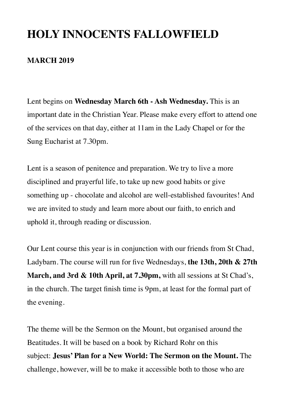## **HOLY INNOCENTS FALLOWFIELD**

#### **MARCH 2019**

Lent begins on **Wednesday March 6th - Ash Wednesday.** This is an important date in the Christian Year. Please make every effort to attend one of the services on that day, either at 11am in the Lady Chapel or for the Sung Eucharist at 7.30pm.

Lent is a season of penitence and preparation. We try to live a more disciplined and prayerful life, to take up new good habits or give something up - chocolate and alcohol are well-established favourites! And we are invited to study and learn more about our faith, to enrich and uphold it, through reading or discussion.

Our Lent course this year is in conjunction with our friends from St Chad, Ladybarn. The course will run for five Wednesdays, **the 13th, 20th & 27th March, and 3rd & 10th April, at 7.30pm,** with all sessions at St Chad's, in the church. The target finish time is 9pm, at least for the formal part of the evening.

The theme will be the Sermon on the Mount, but organised around the Beatitudes. It will be based on a book by Richard Rohr on this subject: **Jesus' Plan for a New World: The Sermon on the Mount.** The challenge, however, will be to make it accessible both to those who are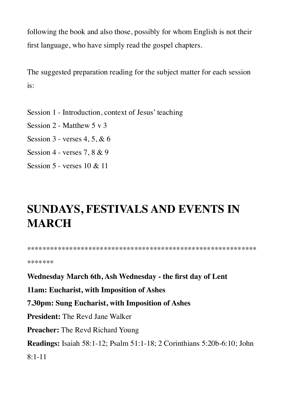following the book and also those, possibly for whom English is not their first language, who have simply read the gospel chapters.

The suggested preparation reading for the subject matter for each session is:

- Session 1 Introduction, context of Jesus' teaching
- Session 2 Matthew 5 v 3
- Session 3 verses 4, 5, & 6
- Session 4 verses 7, 8 & 9
- Session 5 verses 10 & 11

# **SUNDAYS, FESTIVALS AND EVENTS IN MARCH**

\*\*\*\*\*\*\*\*\*\*\*\*\*\*\*\*\*\*\*\*\*\*\*\*\*\*\*\*\*\*\*\*\*\*\*\*\*\*\*\*\*\*\*\*\*\*\*\*\*\*\*\*\*\*\*\*\*\*\*\*

\*\*\*\*\*\*\*

**Wednesday March 6th, Ash Wednesday - the first day of Lent**

**11am: Eucharist, with Imposition of Ashes**

**7.30pm: Sung Eucharist, with Imposition of Ashes**

**President:** The Revd Jane Walker

**Preacher:** The Revd Richard Young

**Readings:** Isaiah 58:1-12; Psalm 51:1-18; 2 Corinthians 5:20b-6:10; John

 $8:1-11$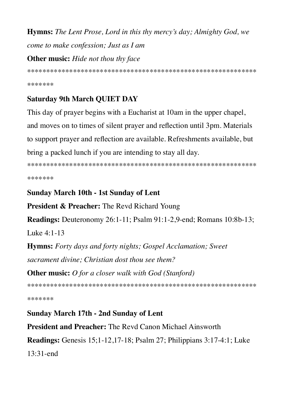**Hymns:** The Lent Prose, Lord in this thy mercy's day; Almighty God, we come to make confession; Just as I am **Other music:** Hide not thou thy face

\*\*\*\*\*\*\*

## **Saturday 9th March QUIET DAY**

This day of prayer begins with a Eucharist at 10am in the upper chapel, and moves on to times of silent prayer and reflection until 3pm. Materials to support prayer and reflection are available. Refreshments available, but bring a packed lunch if you are intending to stay all day.

\*\*\*\*\*\*\*

### **Sunday March 10th - 1st Sunday of Lent**

**President & Preacher:** The Revd Richard Young

**Readings:** Deuteronomy 26:1-11; Psalm 91:1-2,9-end; Romans 10:8b-13;

Luke 4:1-13

**Hymns:** Forty days and forty nights; Gospel Acclamation; Sweet sacrament divine: Christian dost thou see them?

**Other music:** O for a closer walk with God (Stanford)

\*\*\*\*\*\*\*

**Sunday March 17th - 2nd Sunday of Lent** 

**President and Preacher:** The Revd Canon Michael Ainsworth

**Readings:** Genesis 15;1-12,17-18; Psalm 27; Philippians 3:17-4:1; Luke  $13:31$ -end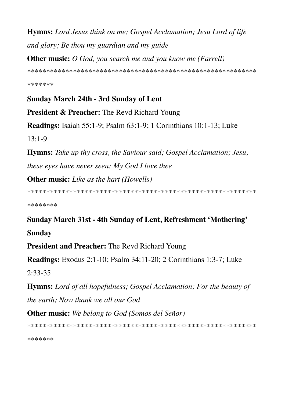**Hymns:** Lord Jesus think on me; Gospel Acclamation; Jesu Lord of life and glory; Be thou my guardian and my guide

**Other music:** O God, you search me and you know me (Farrell)

\*\*\*\*\*\*\*

#### **Sunday March 24th - 3rd Sunday of Lent**

**President & Preacher:** The Revd Richard Young

**Readings:** Isaiah 55:1-9; Psalm 63:1-9; 1 Corinthians 10:1-13; Luke  $13:1-9$ 

**Hymns:** Take up thy cross, the Saviour said; Gospel Acclamation; Jesu, these eyes have never seen; My God I love thee

**Other music:** Like as the hart (Howells)

\*\*\*\*\*\*\*\*

Sunday March 31st - 4th Sunday of Lent, Refreshment 'Mothering' **Sunday** 

**President and Preacher: The Revd Richard Young** 

**Readings:** Exodus 2:1-10; Psalm 34:11-20; 2 Corinthians 1:3-7; Luke  $2:33-35$ 

**Hymns:** Lord of all hopefulness; Gospel Acclamation; For the beauty of the earth; Now thank we all our God

**Other music:** We belong to God (Somos del Señor)

\*\*\*\*\*\*\*